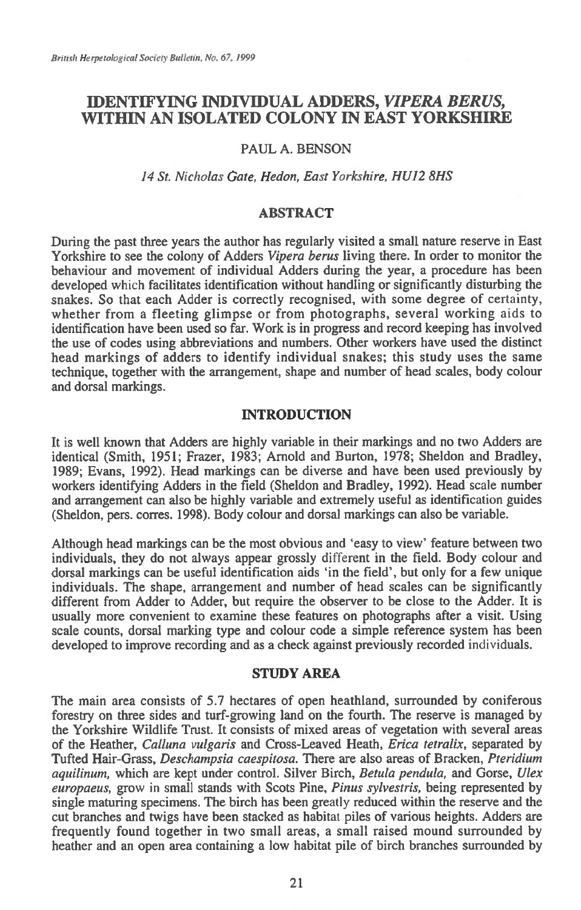# **IDENTIFYING INDIVIDUAL ADDERS,** *VIPERA REBUS,*  **WITHIN AN ISOLATED COLONY IN EAST YORKSHIRE**

## PAUL A. BENSON

## *14 St. Nicholas Gate, Hedon, East Yorkshire, HUI2 8HS*

### **ABSTRACT**

During the past three years the author has regularly visited a small nature reserve in East Yorkshire to see the colony of Adders *Vipera berus* living there. In order to monitor the behaviour and movement of individual Adders during the year, a procedure has been developed which facilitates identification without handling or significantly disturbing the snakes. So that each Adder is correctly recognised, with some degree of certainty, whether from a fleeting glimpse or from photographs, several working aids to identification have been used so far. Work is in progress and record keeping has involved the use of codes using abbreviations and numbers. Other workers have used the distinct head markings of adders to identify individual snakes; this study uses the same technique, together with the arrangement, shape and number of head scales, body colour and dorsal markings.

## **INTRODUCTION**

It is well known that Adders are highly variable in their markings and no two Adders are identical (Smith, 1951; Frazer, 1983; Arnold and Burton, 1978; Sheldon and Bradley, 1989; Evans, 1992). Head markings can be diverse and have been used previously by workers identifying Adders in the field (Sheldon and Bradley, 1992). Head scale number and arrangement can also be highly variable and extremely useful as identification guides (Sheldon, pers. corres. 1998). Body colour and dorsal markings can also be variable.

Although head markings can be the most obvious and 'easy to view' feature between two individuals, they do not always appear grossly different in the field. Body colour and dorsal markings can be useful identification aids 'in the field', but only for a few unique individuals. The shape, arrangement and number of head scales can be significantly different from Adder to Adder, but require the observer to be close to the Adder. It is usually more convenient to examine these features on photographs after a visit. Using scale counts, dorsal marking type and colour code a simple reference system has been developed to improve recording and as a check against previously recorded individuals.

#### **STUDY AREA**

The main area consists of 5.7 hectares of open heathland, surrounded by coniferous forestry on three sides and turf-growing land on the fourth. The reserve is managed by the Yorkshire Wildlife Trust. It consists of mixed areas of vegetation with several areas of the Heather, *Calluna vulgaris* and Cross-Leaved Heath, *Erica tetralix,* separated by Tufted Hair-Grass, *Deschampsia caespitosa.* There are also areas of Bracken, *Pteridium aquilinum,* which are kept under control. Silver Birch, *Betula pendula,* and Gorse, *Ulex europaeus,* grow in small stands with Scots Pine, *Pinus sylvestris,* being represented by single maturing specimens. The birch has been greatly reduced within the reserve and the cut branches and twigs have been stacked as habitat piles of various heights. Adders are frequently found together in two small areas, a small raised mound surrounded by heather and an open area containing a low habitat pile of birch branches surrounded by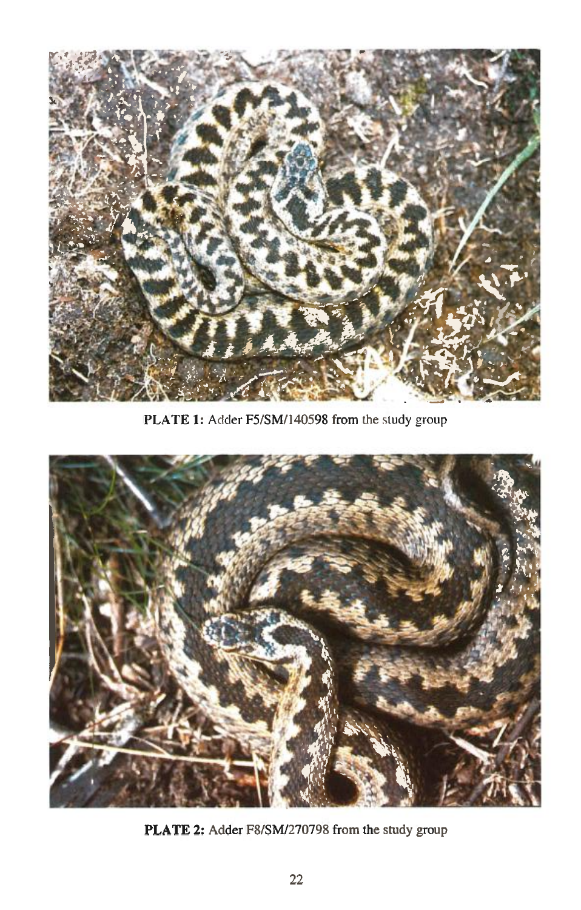

PLATE **1:** Adder F5/SM/140598 from the study group



PLATE 2: Adder F8/SM/270798 from the study group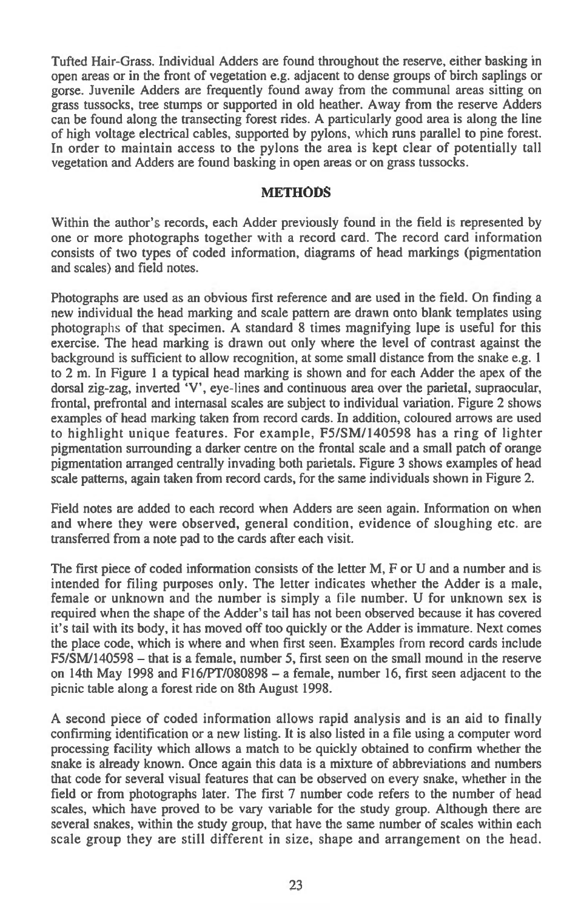Tufted Hair-Grass. Individual Adders are found throughout the reserve, either basking in open areas or in the front of vegetation e.g. adjacent to dense groups of birch saplings or gorse. Juvenile Adders are frequently found away from the communal areas sitting on grass tussocks, tree stumps or supported in old heather. Away from the reserve Adders can be found along the transecting forest rides. A particularly good area is along the line of high voltage electrical cables, supported by pylons, which runs parallel to pine forest. In order to maintain access to the pylons the area is kept clear of potentially tall vegetation and Adders are found basking in open areas or on grass tussocks.

## **METHODS**

Within the author's records, each Adder previously found in the field is represented by one or more photographs together with a record card. The record card information consists of two types of coded information, diagrams of head markings (pigmentation and scales) and field notes.

Photographs are used as an obvious first reference and are used in the field. On finding a new individual the head marking and scale pattern are drawn onto blank templates using photographs of that specimen. A standard 8 times magnifying lupe is useful for this exercise. The head marking is drawn out only where the level of contrast against the background is sufficient to allow recognition, at some small distance from the snake e.g. 1 to 2 m. In Figure 1 a typical head marking is shown and for each Adder the apex of the dorsal zig-zag, inverted 'V', eye-lines and continuous area over the parietal, supraocular, frontal, prefrontal and internasal scales are subject to individual variation. Figure 2 shows examples of head marking taken from record cards. In addition, coloured arrows are used to highlight unique features. For example, F5/SM/140598 has a ring of lighter pigmentation surrounding a darker centre on the frontal scale and a small patch of orange pigmentation arranged centrally invading both parietals. Figure 3 shows examples of head scale patterns, again taken from record cards, for the same individuals shown in Figure 2.

Field notes are added to each record when Adders are seen again. Information on when and where they were observed, general condition, evidence of sloughing etc. are transferred from a note pad to the cards after each visit.

The first piece of coded information consists of the letter M, F or U and a number and is intended for filing purposes only. The letter indicates whether the Adder is a male, female or unknown and the number is simply a file number. U for unknown sex is required when the shape of the Adder's tail has not been observed because it has covered it's tail with its body, it has moved off too quickly or the Adder is immature. Next comes the place code, which is where and when first seen. Examples from record cards include F5/SM/140598 — that is a female, number 5, first seen on the small mound in the reserve on 14th May 1998 and F16/PT/080898 — a female, number 16, first seen adjacent to the picnic table along a forest ride on 8th August 1998.

A second piece of coded information allows rapid analysis and is an aid to finally confirming identification or a new listing. It is also listed in a file using a computer word processing facility which allows a match to be quickly obtained to confirm whether the snake is already known. Once again this data is a mixture of abbreviations and numbers that code for several visual features that can be observed on every snake, whether in the field or from photographs later. The first 7 number code refers to the number of head scales, which have proved to be vary variable for the study group. Although there are several snakes, within the study group, that have the same number of scales within each scale group they are still different in size, shape and arrangement on the head.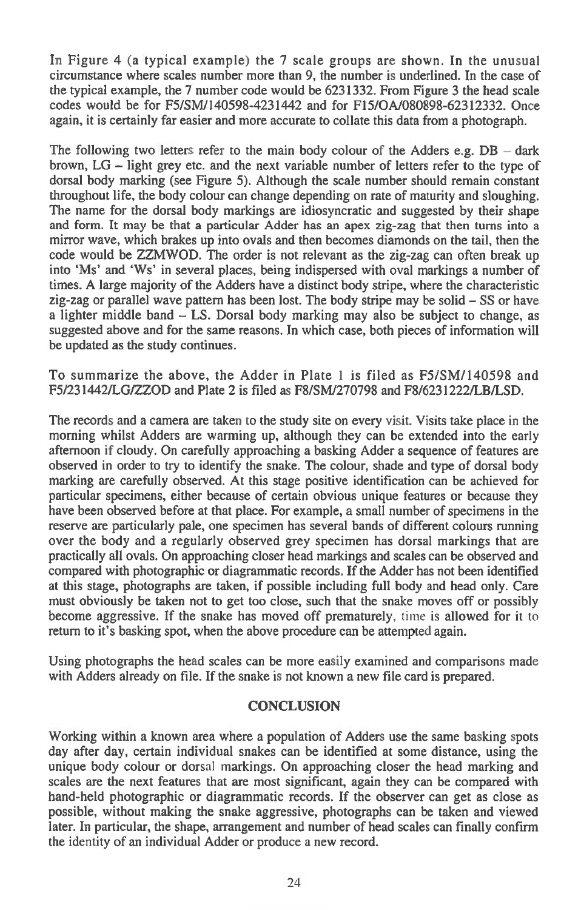In Figure 4 (a typical example) the 7 scale groups are shown. In the unusual circumstance where scales number more than 9, the number is underlined. In the case of the typical example, the 7 number code would be 6231332. From Figure 3 the head scale codes would be for F5/SM/140598-4231442 and for F15/0A/080898-62312332. Once again, it is certainly far easier and more accurate to collate this data from a photograph.

The following two letters refer to the main body colour of the Adders e.g.  $DB - dark$ brown, LG — light grey etc. and the next variable number of letters refer to the type of dorsal body marking (see Figure 5). Although the scale number should remain constant throughout life, the body colour can change depending on rate of maturity and sloughing. The name for the dorsal body markings are idiosyncratic and suggested by their shape and form. It may be that a particular Adder has an apex zig-zag that then turns into a mirror wave, which brakes up into ovals and then becomes diamonds on the tail, then the code would be ZZMWOD. The order is not relevant as the zig-zag can often break up into 'Ms' and 'Ws' in several places, being indispersed with oval markings a number of times. A large majority of the Adders have a distinct body stripe, where the characteristic zig-zag or parallel wave pattern has been lost. The body stripe may be solid — SS or have a lighter middle band — LS. Dorsal body marking may also be subject to change, as suggested above and for the same reasons. In which case, both pieces of information will be updated as the study continues.

To summarize the above, the Adder in Plate 1 is filed as F5/SM/140598 and F5/231442/LG/ZZOD and Plate 2 is filed as F8/SM/270798 and F8/6231222/LB/LSD.

The records and a camera are taken to the study site on every visit. Visits take place in the morning whilst Adders are warming up, although they can be extended into the early afternoon if cloudy. On carefully approaching a basking Adder a sequence of features are observed in order to try to identify the snake. The colour, shade and type of dorsal body marking are carefully observed. At this stage positive identification can be achieved for particular specimens, either because of certain obvious unique features or because they have been observed before at that place. For example, a small number of specimens in the reserve are particularly pale, one specimen has several bands of different colours running over the body and a regularly observed grey specimen has dorsal markings that are practically all ovals. On approaching closer head markings and scales can be observed and compared with photographic or diagrammatic records. If the Adder has not been identified at this stage, photographs are taken, if possible including full body and head only. Care must obviously be taken not to get too close, such that the snake moves off or possibly become aggressive. If the snake has moved off prematurely, time is allowed for it to return to it's basking spot, when the above procedure can be attempted again.

Using photographs the head scales can be more easily examined and comparisons made with Adders already on file. If the snake is not known a new file card is prepared.

## **CONCLUSION**

Working within a known area where a population of Adders use the same basking spots day after day, certain individual snakes can be identified at some distance, using the unique body colour or dorsal markings. On approaching closer the head marking and scales are the next features that are most significant, again they can be compared with hand-held photographic or diagrammatic records. If the observer can get as close as possible, without making the snake aggressive, photographs can be taken and viewed later. In particular, the shape, arrangement and number of head scales can finally confirm the identity of an individual Adder or produce a new record.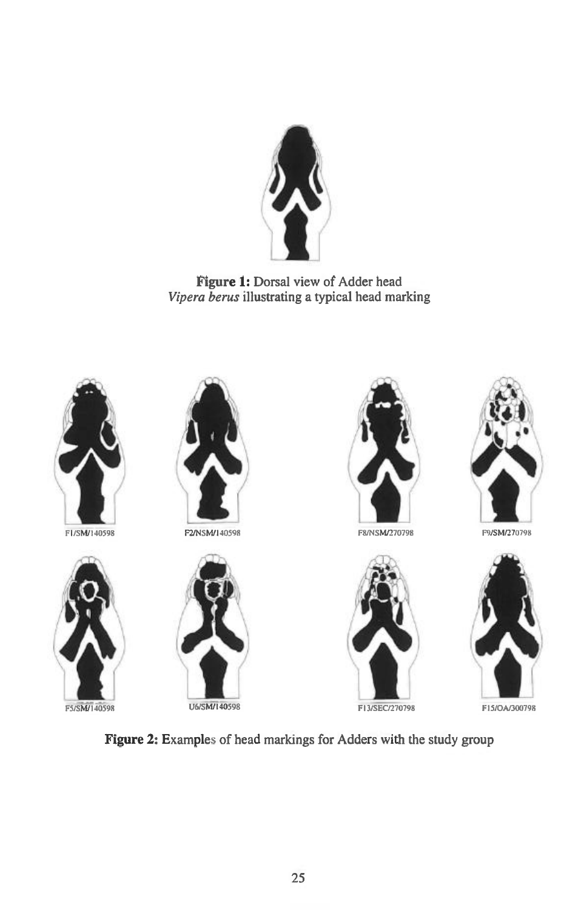

**Figure 1:** Dorsal view of Adder head *Vipera berus* illustrating a typical head marking



F1/SM/140598





F2/NSM/140598





F8/NSW270798 F9/SM/270798







**Figure 2:** Examples of head markings for Adders with the study group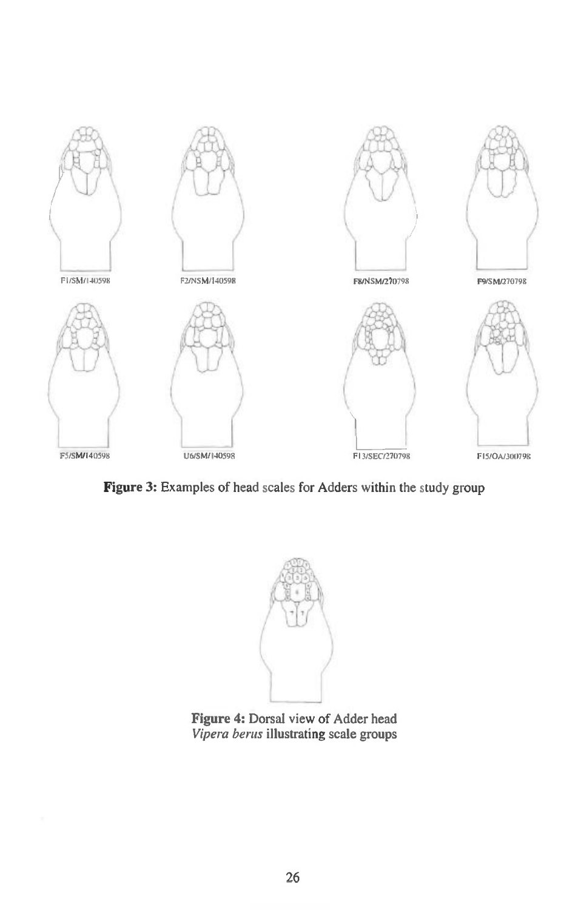

**Figure 3: Examples of head scales for Adders within the study group** 



**Figure 4: Dorsal view of Adder head Vipera berus illustrating scale groups**